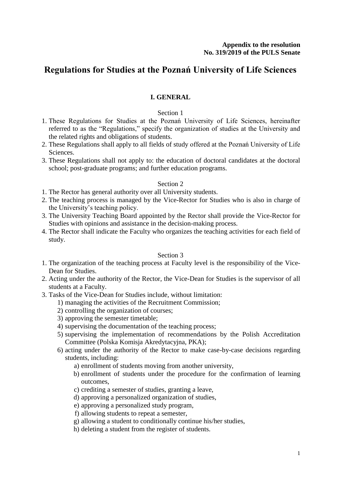# **Regulations for Studies at the Poznań University of Life Sciences**

# **I. GENERAL**

### Section 1

- 1. These Regulations for Studies at the Poznań University of Life Sciences, hereinafter referred to as the "Regulations," specify the organization of studies at the University and the related rights and obligations of students.
- 2. These Regulations shall apply to all fields of study offered at the Poznań University of Life Sciences.
- 3. These Regulations shall not apply to: the education of doctoral candidates at the doctoral school; post-graduate programs; and further education programs.

# Section 2

- 1. The Rector has general authority over all University students.
- 2. The teaching process is managed by the Vice-Rector for Studies who is also in charge of the University's teaching policy.
- 3. The University Teaching Board appointed by the Rector shall provide the Vice-Rector for Studies with opinions and assistance in the decision-making process.
- 4. The Rector shall indicate the Faculty who organizes the teaching activities for each field of study.

- 1. The organization of the teaching process at Faculty level is the responsibility of the Vice-Dean for Studies.
- 2. Acting under the authority of the Rector, the Vice-Dean for Studies is the supervisor of all students at a Faculty.
- 3. Tasks of the Vice-Dean for Studies include, without limitation:
	- 1) managing the activities of the Recruitment Commission;
	- 2) controlling the organization of courses;
	- 3) approving the semester timetable;
	- 4) supervising the documentation of the teaching process;
	- 5) supervising the implementation of recommendations by the Polish Accreditation Committee (Polska Komisja Akredytacyjna, PKA);
	- 6) acting under the authority of the Rector to make case-by-case decisions regarding students, including:
		- a) enrollment of students moving from another university,
		- b) enrollment of students under the procedure for the confirmation of learning outcomes,
		- c) crediting a semester of studies, granting a leave,
		- d) approving a personalized organization of studies,
		- e) approving a personalized study program,
		- f) allowing students to repeat a semester,
		- g) allowing a student to conditionally continue his/her studies,
		- h) deleting a student from the register of students.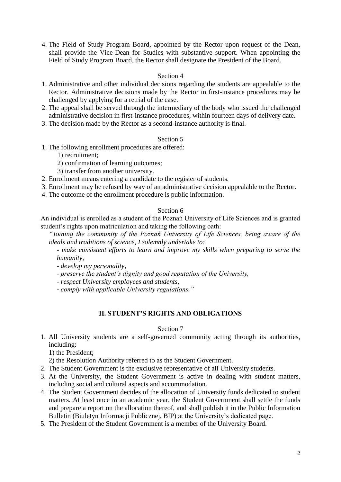4. The Field of Study Program Board, appointed by the Rector upon request of the Dean, shall provide the Vice-Dean for Studies with substantive support. When appointing the Field of Study Program Board, the Rector shall designate the President of the Board.

### Section 4

- 1. Administrative and other individual decisions regarding the students are appealable to the Rector. Administrative decisions made by the Rector in first-instance procedures may be challenged by applying for a retrial of the case.
- 2. The appeal shall be served through the intermediary of the body who issued the challenged administrative decision in first-instance procedures, within fourteen days of delivery date.
- 3. The decision made by the Rector as a second-instance authority is final.

# Section 5

- 1. The following enrollment procedures are offered:
	- 1) recruitment;
	- 2) confirmation of learning outcomes;
	- 3) transfer from another university.
- 2. Enrollment means entering a candidate to the register of students.
- 3. Enrollment may be refused by way of an administrative decision appealable to the Rector.
- 4. The outcome of the enrollment procedure is public information.

# Section 6

An individual is enrolled as a student of the Poznań University of Life Sciences and is granted student's rights upon matriculation and taking the following oath:

*"Joining the community of the Poznań University of Life Sciences, being aware of the ideals and traditions of science, I solemnly undertake to:*

*- make consistent efforts to learn and improve my skills when preparing to serve the humanity,*

- *- develop my personality,*
- *- preserve the student's dignity and good reputation of the University,*
- *- respect University employees and students,*
- *- comply with applicable University regulations."*

# **II. STUDENT'S RIGHTS AND OBLIGATIONS**

#### Section 7

1. All University students are a self-governed community acting through its authorities, including:

1) the President;

- 2) the Resolution Authority referred to as the Student Government.
- 2. The Student Government is the exclusive representative of all University students.
- 3. At the University, the Student Government is active in dealing with student matters, including social and cultural aspects and accommodation.
- 4. The Student Government decides of the allocation of University funds dedicated to student matters. At least once in an academic year, the Student Government shall settle the funds and prepare a report on the allocation thereof, and shall publish it in the Public Information Bulletin (Biuletyn Informacji Publicznej, BIP) at the University's dedicated page.
- 5. The President of the Student Government is a member of the University Board.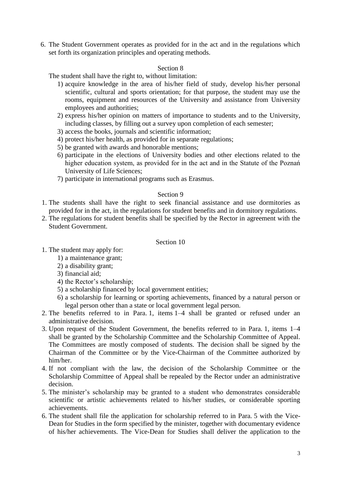6. The Student Government operates as provided for in the act and in the regulations which set forth its organization principles and operating methods.

### Section 8

The student shall have the right to, without limitation:

- 1) acquire knowledge in the area of his/her field of study, develop his/her personal scientific, cultural and sports orientation; for that purpose, the student may use the rooms, equipment and resources of the University and assistance from University employees and authorities;
- 2) express his/her opinion on matters of importance to students and to the University, including classes, by filling out a survey upon completion of each semester;
- 3) access the books, journals and scientific information;
- 4) protect his/her health, as provided for in separate regulations;
- 5) be granted with awards and honorable mentions;
- 6) participate in the elections of University bodies and other elections related to the higher education system, as provided for in the act and in the Statute of the Poznań University of Life Sciences;
- 7) participate in international programs such as Erasmus.

### Section 9

- 1. The students shall have the right to seek financial assistance and use dormitories as provided for in the act, in the regulations for student benefits and in dormitory regulations.
- 2. The regulations for student benefits shall be specified by the Rector in agreement with the Student Government.

- 1. The student may apply for:
	- 1) a maintenance grant;
	- 2) a disability grant;
	- 3) financial aid;
	- 4) the Rector's scholarship;
	- 5) a scholarship financed by local government entities;
	- 6) a scholarship for learning or sporting achievements, financed by a natural person or legal person other than a state or local government legal person.
- 2. The benefits referred to in Para. 1, items 1–4 shall be granted or refused under an administrative decision.
- 3. Upon request of the Student Government, the benefits referred to in Para. 1, items 1–4 shall be granted by the Scholarship Committee and the Scholarship Committee of Appeal. The Committees are mostly composed of students. The decision shall be signed by the Chairman of the Committee or by the Vice-Chairman of the Committee authorized by him/her.
- 4. If not compliant with the law, the decision of the Scholarship Committee or the Scholarship Committee of Appeal shall be repealed by the Rector under an administrative decision.
- 5. The minister's scholarship may be granted to a student who demonstrates considerable scientific or artistic achievements related to his/her studies, or considerable sporting achievements.
- 6. The student shall file the application for scholarship referred to in Para. 5 with the Vice-Dean for Studies in the form specified by the minister, together with documentary evidence of his/her achievements. The Vice-Dean for Studies shall deliver the application to the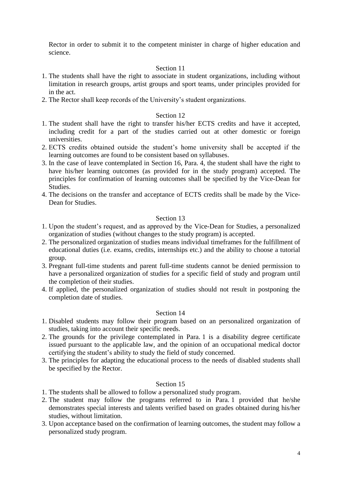Rector in order to submit it to the competent minister in charge of higher education and science.

# Section 11

- 1. The students shall have the right to associate in student organizations, including without limitation in research groups, artist groups and sport teams, under principles provided for in the act.
- 2. The Rector shall keep records of the University's student organizations.

### Section 12

- 1. The student shall have the right to transfer his/her ECTS credits and have it accepted, including credit for a part of the studies carried out at other domestic or foreign universities.
- 2. ECTS credits obtained outside the student's home university shall be accepted if the learning outcomes are found to be consistent based on syllabuses.
- 3. In the case of leave contemplated in Section 16, Para. 4, the student shall have the right to have his/her learning outcomes (as provided for in the study program) accepted. The principles for confirmation of learning outcomes shall be specified by the Vice-Dean for Studies.
- 4. The decisions on the transfer and acceptance of ECTS credits shall be made by the Vice-Dean for Studies.

### Section 13

- 1. Upon the student's request, and as approved by the Vice-Dean for Studies, a personalized organization of studies (without changes to the study program) is accepted.
- 2. The personalized organization of studies means individual timeframes for the fulfillment of educational duties (i.e. exams, credits, internships etc.) and the ability to choose a tutorial group.
- 3. Pregnant full-time students and parent full-time students cannot be denied permission to have a personalized organization of studies for a specific field of study and program until the completion of their studies.
- 4. If applied, the personalized organization of studies should not result in postponing the completion date of studies.

### Section 14

- 1. Disabled students may follow their program based on an personalized organization of studies, taking into account their specific needs.
- 2. The grounds for the privilege contemplated in Para. 1 is a disability degree certificate issued pursuant to the applicable law, and the opinion of an occupational medical doctor certifying the student's ability to study the field of study concerned.
- 3. The principles for adapting the educational process to the needs of disabled students shall be specified by the Rector.

- 1. The students shall be allowed to follow a personalized study program.
- 2. The student may follow the programs referred to in Para. 1 provided that he/she demonstrates special interests and talents verified based on grades obtained during his/her studies, without limitation.
- 3. Upon acceptance based on the confirmation of learning outcomes, the student may follow a personalized study program.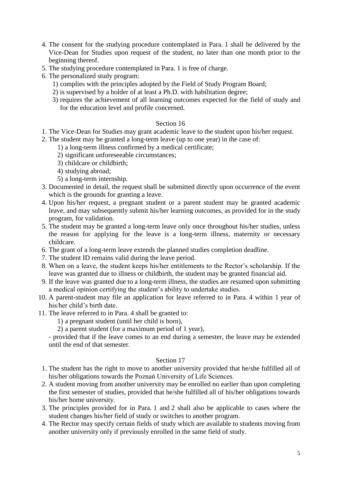- 4. The consent for the studying procedure contemplated in Para. 1 shall be delivered by the Vice-Dean for Studies upon request of the student, no later than one month prior to the beginning thereof.
- 5. The studying procedure contemplated in Para. 1 is free of charge.
- 6. The personalized study program:
	- 1) complies with the principles adopted by the Field of Study Program Board;
	- 2) is supervised by a holder of at least a Ph.D. with habilitation degree;
	- 3) requires the achievement of all learning outcomes expected for the field of study and for the education level and profile concerned.

- 1. The Vice-Dean for Studies may grant academic leave to the student upon his/her request.
- 2. The student may be granted a long-term leave (up to one year) in the case of:
	- 1) a long-term illness confirmed by a medical certificate;
	- 2) significant unforeseeable circumstances;
	- 3) childcare or childbirth;
	- 4) studying abroad;
	- 5) a long-term internship.
- 3. Documented in detail, the request shall be submitted directly upon occurrence of the event which is the grounds for granting a leave.
- 4. Upon his/her request, a pregnant student or a parent student may be granted academic leave, and may subsequently submit his/her learning outcomes, as provided for in the study program, for validation.
- 5. The student may be granted a long-term leave only once throughout his/her studies, unless the reason for applying for the leave is a long-term illness, maternity or necessary childcare.
- 6. The grant of a long-term leave extends the planned studies completion deadline.
- 7. The student ID remains valid during the leave period.
- 8. When on a leave, the student keeps his/her entitlements to the Rector's scholarship. If the leave was granted due to illness or childbirth, the student may be granted financial aid.
- 9. If the leave was granted due to a long-term illness, the studies are resumed upon submitting a medical opinion certifying the student's ability to undertake studies.
- 10. A parent-student may file an application for leave referred to in Para. 4 within 1 year of his/her child's birth date.
- 11. The leave referred to in Para. 4 shall be granted to:
	- 1) a pregnant student (until her child is born),
	- 2) a parent student (for a maximum period of 1 year),

- provided that if the leave comes to an end during a semester, the leave may be extended until the end of that semester.

- 1. The student has the right to move to another university provided that he/she fulfilled all of his/her obligations towards the Poznań University of Life Sciences.
- 2. A student moving from another university may be enrolled no earlier than upon completing the first semester of studies, provided that he/she fulfilled all of his/her obligations towards his/her home university.
- 3. The principles provided for in Para. 1 and 2 shall also be applicable to cases where the student changes his/her field of study or switches to another program.
- 4. The Rector may specify certain fields of study which are available to students moving from another university only if previously enrolled in the same field of study.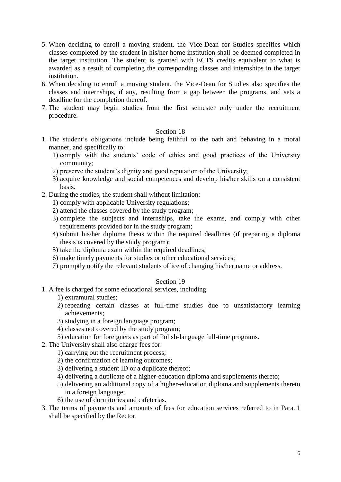- 5. When deciding to enroll a moving student, the Vice-Dean for Studies specifies which classes completed by the student in his/her home institution shall be deemed completed in the target institution. The student is granted with ECTS credits equivalent to what is awarded as a result of completing the corresponding classes and internships in the target institution.
- 6. When deciding to enroll a moving student, the Vice-Dean for Studies also specifies the classes and internships, if any, resulting from a gap between the programs, and sets a deadline for the completion thereof.
- 7. The student may begin studies from the first semester only under the recruitment procedure.

- 1. The student's obligations include being faithful to the oath and behaving in a moral manner, and specifically to:
	- 1) comply with the students' code of ethics and good practices of the University community;
	- 2) preserve the student's dignity and good reputation of the University;
	- 3) acquire knowledge and social competences and develop his/her skills on a consistent basis.
- 2. During the studies, the student shall without limitation:
	- 1) comply with applicable University regulations;
	- 2) attend the classes covered by the study program;
	- 3) complete the subjects and internships, take the exams, and comply with other requirements provided for in the study program;
	- 4) submit his/her diploma thesis within the required deadlines (if preparing a diploma thesis is covered by the study program);
	- 5) take the diploma exam within the required deadlines;
	- 6) make timely payments for studies or other educational services;
	- 7) promptly notify the relevant students office of changing his/her name or address.

- 1. A fee is charged for some educational services, including:
	- 1) extramural studies;
	- 2) repeating certain classes at full-time studies due to unsatisfactory learning achievements;
	- 3) studying in a foreign language program;
	- 4) classes not covered by the study program;
	- 5) education for foreigners as part of Polish-language full-time programs.
- 2. The University shall also charge fees for:
	- 1) carrying out the recruitment process;
	- 2) the confirmation of learning outcomes;
	- 3) delivering a student ID or a duplicate thereof;
	- 4) delivering a duplicate of a higher-education diploma and supplements thereto;
	- 5) delivering an additional copy of a higher-education diploma and supplements thereto in a foreign language;
	- 6) the use of dormitories and cafeterias.
- 3. The terms of payments and amounts of fees for education services referred to in Para. 1 shall be specified by the Rector.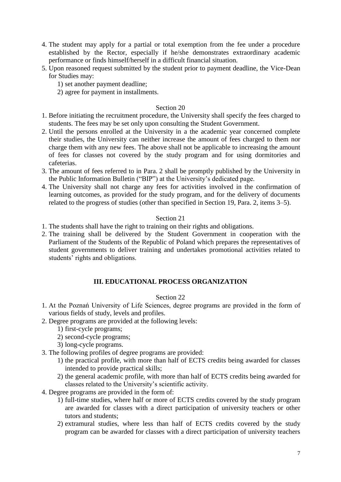- 4. The student may apply for a partial or total exemption from the fee under a procedure established by the Rector, especially if he/she demonstrates extraordinary academic performance or finds himself/herself in a difficult financial situation.
- 5. Upon reasoned request submitted by the student prior to payment deadline, the Vice-Dean for Studies may:
	- 1) set another payment deadline;
	- 2) agree for payment in installments.

- 1. Before initiating the recruitment procedure, the University shall specify the fees charged to students. The fees may be set only upon consulting the Student Government.
- 2. Until the persons enrolled at the University in a the academic year concerned complete their studies, the University can neither increase the amount of fees charged to them nor charge them with any new fees. The above shall not be applicable to increasing the amount of fees for classes not covered by the study program and for using dormitories and cafeterias.
- 3. The amount of fees referred to in Para. 2 shall be promptly published by the University in the Public Information Bulletin ("BIP") at the University's dedicated page.
- 4. The University shall not charge any fees for activities involved in the confirmation of learning outcomes, as provided for the study program, and for the delivery of documents related to the progress of studies (other than specified in Section 19, Para. 2, items 3–5).

### Section 21

- 1. The students shall have the right to training on their rights and obligations.
- 2. The training shall be delivered by the Student Government in cooperation with the Parliament of the Students of the Republic of Poland which prepares the representatives of student governments to deliver training and undertakes promotional activities related to students' rights and obligations.

### **III. EDUCATIONAL PROCESS ORGANIZATION**

- 1. At the Poznań University of Life Sciences, degree programs are provided in the form of various fields of study, levels and profiles.
- 2. Degree programs are provided at the following levels:
	- 1) first-cycle programs;
	- 2) second-cycle programs;
	- 3) long-cycle programs.
- 3. The following profiles of degree programs are provided:
	- 1) the practical profile, with more than half of ECTS credits being awarded for classes intended to provide practical skills;
	- 2) the general academic profile, with more than half of ECTS credits being awarded for classes related to the University's scientific activity.
- 4. Degree programs are provided in the form of:
	- 1) full-time studies, where half or more of ECTS credits covered by the study program are awarded for classes with a direct participation of university teachers or other tutors and students;
	- 2) extramural studies, where less than half of ECTS credits covered by the study program can be awarded for classes with a direct participation of university teachers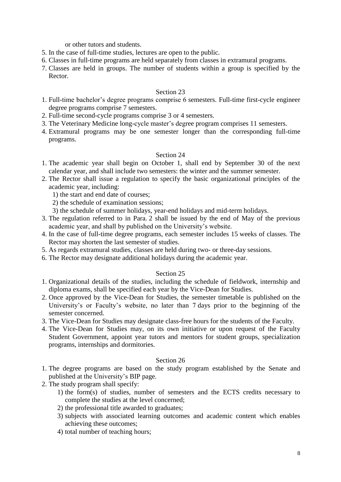or other tutors and students.

- 5. In the case of full-time studies, lectures are open to the public.
- 6. Classes in full-time programs are held separately from classes in extramural programs.
- 7. Classes are held in groups. The number of students within a group is specified by the Rector.

# Section 23

- 1. Full-time bachelor's degree programs comprise 6 semesters. Full-time first-cycle engineer degree programs comprise 7 semesters.
- 2. Full-time second-cycle programs comprise 3 or 4 semesters.
- 3. The Veterinary Medicine long-cycle master's degree program comprises 11 semesters.
- 4. Extramural programs may be one semester longer than the corresponding full-time programs.

# Section 24

- 1. The academic year shall begin on October 1, shall end by September 30 of the next calendar year, and shall include two semesters: the winter and the summer semester.
- 2. The Rector shall issue a regulation to specify the basic organizational principles of the academic year, including:
	- 1) the start and end date of courses;
	- 2) the schedule of examination sessions;
	- 3) the schedule of summer holidays, year-end holidays and mid-term holidays.
- 3. The regulation referred to in Para. 2 shall be issued by the end of May of the previous academic year, and shall by published on the University's website.
- 4. In the case of full-time degree programs, each semester includes 15 weeks of classes. The Rector may shorten the last semester of studies.
- 5. As regards extramural studies, classes are held during two- or three-day sessions.
- 6. The Rector may designate additional holidays during the academic year.

# Section 25

- 1. Organizational details of the studies, including the schedule of fieldwork, internship and diploma exams, shall be specified each year by the Vice-Dean for Studies.
- 2. Once approved by the Vice-Dean for Studies, the semester timetable is published on the University's or Faculty's website, no later than 7 days prior to the beginning of the semester concerned.
- 3. The Vice-Dean for Studies may designate class-free hours for the students of the Faculty.
- 4. The Vice-Dean for Studies may, on its own initiative or upon request of the Faculty Student Government, appoint year tutors and mentors for student groups, specialization programs, internships and dormitories.

- 1. The degree programs are based on the study program established by the Senate and published at the University's BIP page.
- 2. The study program shall specify:
	- 1) the form(s) of studies, number of semesters and the ECTS credits necessary to complete the studies at the level concerned;
	- 2) the professional title awarded to graduates;
	- 3) subjects with associated learning outcomes and academic content which enables achieving these outcomes;
	- 4) total number of teaching hours;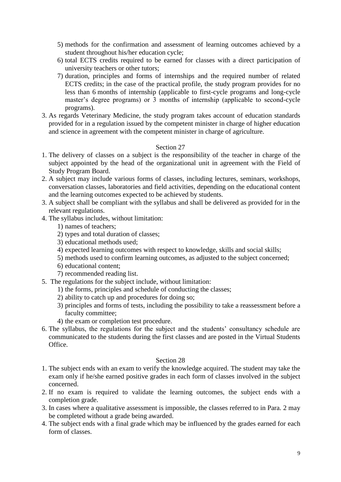- 5) methods for the confirmation and assessment of learning outcomes achieved by a student throughout his/her education cycle;
- 6) total ECTS credits required to be earned for classes with a direct participation of university teachers or other tutors;
- 7) duration, principles and forms of internships and the required number of related ECTS credits; in the case of the practical profile, the study program provides for no less than 6 months of internship (applicable to first-cycle programs and long-cycle master's degree programs) or 3 months of internship (applicable to second-cycle programs).
- 3. As regards Veterinary Medicine, the study program takes account of education standards provided for in a regulation issued by the competent minister in charge of higher education and science in agreement with the competent minister in charge of agriculture.

- 1. The delivery of classes on a subject is the responsibility of the teacher in charge of the subject appointed by the head of the organizational unit in agreement with the Field of Study Program Board.
- 2. A subject may include various forms of classes, including lectures, seminars, workshops, conversation classes, laboratories and field activities, depending on the educational content and the learning outcomes expected to be achieved by students.
- 3. A subject shall be compliant with the syllabus and shall be delivered as provided for in the relevant regulations.
- 4. The syllabus includes, without limitation:
	- 1) names of teachers;
	- 2) types and total duration of classes;
	- 3) educational methods used;
	- 4) expected learning outcomes with respect to knowledge, skills and social skills;
	- 5) methods used to confirm learning outcomes, as adjusted to the subject concerned;
	- 6) educational content;
	- 7) recommended reading list.
- 5. The regulations for the subject include, without limitation:
	- 1) the forms, principles and schedule of conducting the classes;
	- 2) ability to catch up and procedures for doing so;
	- 3) principles and forms of tests, including the possibility to take a reassessment before a faculty committee;
	- 4) the exam or completion test procedure.
- 6. The syllabus, the regulations for the subject and the students' consultancy schedule are communicated to the students during the first classes and are posted in the Virtual Students Office.

- 1. The subject ends with an exam to verify the knowledge acquired. The student may take the exam only if he/she earned positive grades in each form of classes involved in the subject concerned.
- 2. If no exam is required to validate the learning outcomes, the subject ends with a completion grade.
- 3. In cases where a qualitative assessment is impossible, the classes referred to in Para. 2 may be completed without a grade being awarded.
- 4. The subject ends with a final grade which may be influenced by the grades earned for each form of classes.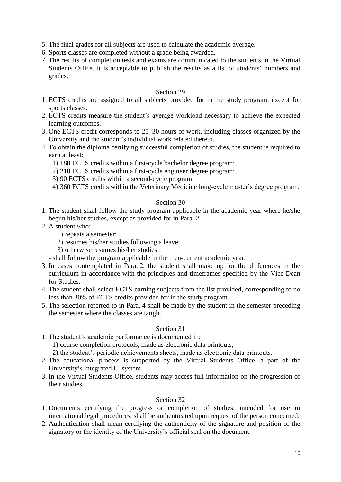- 5. The final grades for all subjects are used to calculate the academic average.
- 6. Sports classes are completed without a grade being awarded.
- 7. The results of completion tests and exams are communicated to the students in the Virtual Students Office. It is acceptable to publish the results as a list of students' numbers and grades.

- 1. ECTS credits are assigned to all subjects provided for in the study program, except for sports classes.
- 2. ECTS credits measure the student's average workload necessary to achieve the expected learning outcomes.
- 3. One ECTS credit corresponds to 25–30 hours of work, including classes organized by the University and the student's individual work related thereto.
- 4. To obtain the diploma certifying successful completion of studies, the student is required to earn at least:
	- 1) 180 ECTS credits within a first-cycle bachelor degree program;
	- 2) 210 ECTS credits within a first-cycle engineer degree program;
	- 3) 90 ECTS credits within a second-cycle program;
	- 4) 360 ECTS credits within the Veterinary Medicine long-cycle master's degree program.

# Section 30

- 1. The student shall follow the study program applicable in the academic year where he/she begun his/her studies, except as provided for in Para. 2.
- 2. A student who:
	- 1) repeats a semester;
	- 2) resumes his/her studies following a leave;
	- 3) otherwise resumes his/her studies
	- shall follow the program applicable in the then-current academic year.
- 3. In cases contemplated in Para. 2, the student shall make up for the differences in the curriculum in accordance with the principles and timeframes specified by the Vice-Dean for Studies.
- 4. The student shall select ECTS-earning subjects from the list provided, corresponding to no less than 30% of ECTS credits provided for in the study program.
- 5. The selection referred to in Para. 4 shall be made by the student in the semester preceding the semester where the classes are taught.

### Section 31

1. The student's academic performance is documented in:

1) course completion protocols, made as electronic data printouts;

- 2) the student's periodic achievements sheets, made as electronic data printouts.
- 2. The educational process is supported by the Virtual Students Office, a part of the University's integrated IT system.
- 3. In the Virtual Students Office, students may access full information on the progression of their studies.

- 1. Documents certifying the progress or completion of studies, intended for use in international legal procedures, shall be authenticated upon request of the person concerned.
- 2. Authentication shall mean certifying the authenticity of the signature and position of the signatory or the identity of the University's official seal on the document.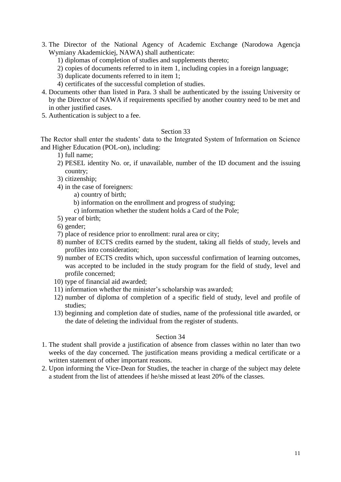- 3. The Director of the National Agency of Academic Exchange (Narodowa Agencja Wymiany Akademickiej, NAWA) shall authenticate:
	- 1) diplomas of completion of studies and supplements thereto;
	- 2) copies of documents referred to in item 1, including copies in a foreign language;
	- 3) duplicate documents referred to in item 1;
	- 4) certificates of the successful completion of studies.
- 4. Documents other than listed in Para. 3 shall be authenticated by the issuing University or by the Director of NAWA if requirements specified by another country need to be met and in other justified cases.
- 5. Authentication is subject to a fee.

The Rector shall enter the students' data to the Integrated System of Information on Science and Higher Education (POL-on), including:

- 1) full name;
- 2) PESEL identity No. or, if unavailable, number of the ID document and the issuing country;
- 3) citizenship;
- 4) in the case of foreigners:
	- a) country of birth;
	- b) information on the enrollment and progress of studying;
	- c) information whether the student holds a Card of the Pole;
- 5) year of birth;
- 6) gender;
- 7) place of residence prior to enrollment: rural area or city;
- 8) number of ECTS credits earned by the student, taking all fields of study, levels and profiles into consideration;
- 9) number of ECTS credits which, upon successful confirmation of learning outcomes, was accepted to be included in the study program for the field of study, level and profile concerned;
- 10) type of financial aid awarded;
- 11) information whether the minister's scholarship was awarded;
- 12) number of diploma of completion of a specific field of study, level and profile of studies;
- 13) beginning and completion date of studies, name of the professional title awarded, or the date of deleting the individual from the register of students.

- 1. The student shall provide a justification of absence from classes within no later than two weeks of the day concerned. The justification means providing a medical certificate or a written statement of other important reasons.
- 2. Upon informing the Vice-Dean for Studies, the teacher in charge of the subject may delete a student from the list of attendees if he/she missed at least 20% of the classes.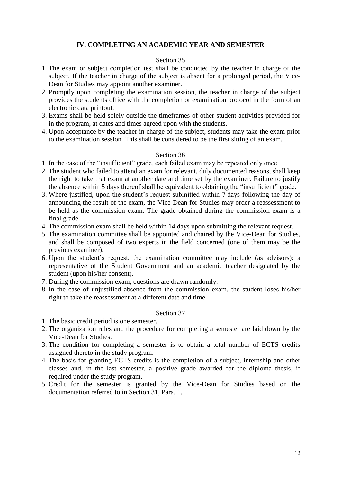# **IV. COMPLETING AN ACADEMIC YEAR AND SEMESTER**

#### Section 35

- 1. The exam or subject completion test shall be conducted by the teacher in charge of the subject. If the teacher in charge of the subject is absent for a prolonged period, the Vice-Dean for Studies may appoint another examiner.
- 2. Promptly upon completing the examination session, the teacher in charge of the subject provides the students office with the completion or examination protocol in the form of an electronic data printout.
- 3. Exams shall be held solely outside the timeframes of other student activities provided for in the program, at dates and times agreed upon with the students.
- 4. Upon acceptance by the teacher in charge of the subject, students may take the exam prior to the examination session. This shall be considered to be the first sitting of an exam.

#### Section 36

- 1. In the case of the "insufficient" grade, each failed exam may be repeated only once.
- 2. The student who failed to attend an exam for relevant, duly documented reasons, shall keep the right to take that exam at another date and time set by the examiner. Failure to justify the absence within 5 days thereof shall be equivalent to obtaining the "insufficient" grade.
- 3. Where justified, upon the student's request submitted within 7 days following the day of announcing the result of the exam, the Vice-Dean for Studies may order a reassessment to be held as the commission exam. The grade obtained during the commission exam is a final grade.
- 4. The commission exam shall be held within 14 days upon submitting the relevant request.
- 5. The examination committee shall be appointed and chaired by the Vice-Dean for Studies, and shall be composed of two experts in the field concerned (one of them may be the previous examiner).
- 6. Upon the student's request, the examination committee may include (as advisors): a representative of the Student Government and an academic teacher designated by the student (upon his/her consent).
- 7. During the commission exam, questions are drawn randomly.
- 8. In the case of unjustified absence from the commission exam, the student loses his/her right to take the reassessment at a different date and time.

- 1. The basic credit period is one semester.
- 2. The organization rules and the procedure for completing a semester are laid down by the Vice-Dean for Studies.
- 3. The condition for completing a semester is to obtain a total number of ECTS credits assigned thereto in the study program.
- 4. The basis for granting ECTS credits is the completion of a subject, internship and other classes and, in the last semester, a positive grade awarded for the diploma thesis, if required under the study program.
- 5. Credit for the semester is granted by the Vice-Dean for Studies based on the documentation referred to in Section 31, Para. 1.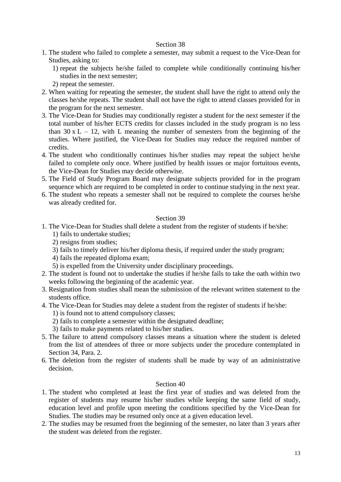- 1. The student who failed to complete a semester, may submit a request to the Vice-Dean for Studies, asking to:
	- 1) repeat the subjects he/she failed to complete while conditionally continuing his/her studies in the next semester;
	- 2) repeat the semester.
- 2. When waiting for repeating the semester, the student shall have the right to attend only the classes he/she repeats. The student shall not have the right to attend classes provided for in the program for the next semester.
- 3. The Vice-Dean for Studies may conditionally register a student for the next semester if the total number of his/her ECTS credits for classes included in the study program is no less than  $30 \times L - 12$ , with L meaning the number of semesters from the beginning of the studies. Where justified, the Vice-Dean for Studies may reduce the required number of credits.
- 4. The student who conditionally continues his/her studies may repeat the subject he/she failed to complete only once. Where justified by health issues or major fortuitous events, the Vice-Dean for Studies may decide otherwise.
- 5. The Field of Study Program Board may designate subjects provided for in the program sequence which are required to be completed in order to continue studying in the next year.
- 6. The student who repeats a semester shall not be required to complete the courses he/she was already credited for.

#### Section 39

- 1. The Vice-Dean for Studies shall delete a student from the register of students if he/she:
	- 1) fails to undertake studies;
	- 2) resigns from studies;
	- 3) fails to timely deliver his/her diploma thesis, if required under the study program;
	- 4) fails the repeated diploma exam;
	- 5) is expelled from the University under disciplinary proceedings.
- 2. The student is found not to undertake the studies if he/she fails to take the oath within two weeks following the beginning of the academic year.
- 3. Resignation from studies shall mean the submission of the relevant written statement to the students office.
- 4. The Vice-Dean for Studies may delete a student from the register of students if he/she:
	- 1) is found not to attend compulsory classes;
	- 2) fails to complete a semester within the designated deadline;
	- 3) fails to make payments related to his/her studies.
- 5. The failure to attend compulsory classes means a situation where the student is deleted from the list of attendees of three or more subjects under the procedure contemplated in Section 34, Para. 2.
- 6. The deletion from the register of students shall be made by way of an administrative decision.

- 1. The student who completed at least the first year of studies and was deleted from the register of students may resume his/her studies while keeping the same field of study, education level and profile upon meeting the conditions specified by the Vice-Dean for Studies. The studies may be resumed only once at a given education level.
- 2. The studies may be resumed from the beginning of the semester, no later than 3 years after the student was deleted from the register.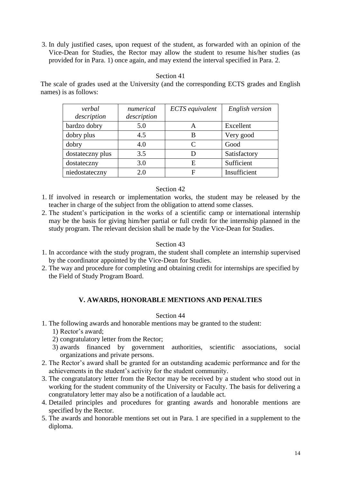3. In duly justified cases, upon request of the student, as forwarded with an opinion of the Vice-Dean for Studies, the Rector may allow the student to resume his/her studies (as provided for in Para. 1) once again, and may extend the interval specified in Para. 2.

### Section 41

The scale of grades used at the University (and the corresponding ECTS grades and English names) is as follows:

| verbal<br>description | numerical<br>description | ECTS equivalent | English version |
|-----------------------|--------------------------|-----------------|-----------------|
| bardzo dobry          | 5.0                      | A               | Excellent       |
| dobry plus            | 4.5                      | B               | Very good       |
| dobry                 | 4.0                      | $\subset$       | Good            |
| dostateczny plus      | 3.5                      |                 | Satisfactory    |
| dostateczny           | 3.0                      | E               | Sufficient      |
| niedostateczny        | 2.0                      | F               | Insufficient    |

# Section 42

- 1. If involved in research or implementation works, the student may be released by the teacher in charge of the subject from the obligation to attend some classes.
- 2. The student's participation in the works of a scientific camp or international internship may be the basis for giving him/her partial or full credit for the internship planned in the study program. The relevant decision shall be made by the Vice-Dean for Studies.

# Section 43

- 1. In accordance with the study program, the student shall complete an internship supervised by the coordinator appointed by the Vice-Dean for Studies.
- 2. The way and procedure for completing and obtaining credit for internships are specified by the Field of Study Program Board.

# **V. AWARDS, HONORABLE MENTIONS AND PENALTIES**

- 1. The following awards and honorable mentions may be granted to the student:
	- 1) Rector's award;
	- 2) congratulatory letter from the Rector;
	- 3) awards financed by government authorities, scientific associations, social organizations and private persons.
- 2. The Rector's award shall be granted for an outstanding academic performance and for the achievements in the student's activity for the student community.
- 3. The congratulatory letter from the Rector may be received by a student who stood out in working for the student community of the University or Faculty. The basis for delivering a congratulatory letter may also be a notification of a laudable act.
- 4. Detailed principles and procedures for granting awards and honorable mentions are specified by the Rector.
- 5. The awards and honorable mentions set out in Para. 1 are specified in a supplement to the diploma.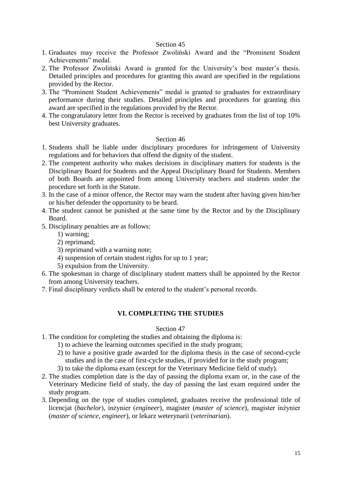- 1. Graduates may receive the Professor Zwoliński Award and the "Prominent Student Achievements" medal.
- 2. The Professor Zwoliński Award is granted for the University's best master's thesis. Detailed principles and procedures for granting this award are specified in the regulations provided by the Rector.
- 3. The "Prominent Student Achievements" medal is granted to graduates for extraordinary performance during their studies. Detailed principles and procedures for granting this award are specified in the regulations provided by the Rector.
- 4. The congratulatory letter from the Rector is received by graduates from the list of top 10% best University graduates.

#### Section 46

- 1. Students shall be liable under disciplinary procedures for infringement of University regulations and for behaviors that offend the dignity of the student.
- 2. The competent authority who makes decisions in disciplinary matters for students is the Disciplinary Board for Students and the Appeal Disciplinary Board for Students. Members of both Boards are appointed from among University teachers and students under the procedure set forth in the Statute.
- 3. In the case of a minor offence, the Rector may warn the student after having given him/her or his/her defender the opportunity to be heard.
- 4. The student cannot be punished at the same time by the Rector and by the Disciplinary Board.
- 5. Disciplinary penalties are as follows:
	- 1) warning;
	- 2) reprimand;
	- 3) reprimand with a warning note;
	- 4) suspension of certain student rights for up to 1 year;
	- 5) expulsion from the University.
- 6. The spokesman in charge of disciplinary student matters shall be appointed by the Rector from among University teachers.
- 7. Final disciplinary verdicts shall be entered to the student's personal records.

### **VI. COMPLETING THE STUDIES**

- 1. The condition for completing the studies and obtaining the diploma is:
	- 1) to achieve the learning outcomes specified in the study program;
	- 2) to have a positive grade awarded for the diploma thesis in the case of second-cycle studies and in the case of first-cycle studies, if provided for in the study program;
	- 3) to take the diploma exam (except for the Veterinary Medicine field of study).
- 2. The studies completion date is the day of passing the diploma exam or, in the case of the Veterinary Medicine field of study, the day of passing the last exam required under the study program.
- 3. Depending on the type of studies completed, graduates receive the professional title of licencjat (*bachelor*), inżynier (*engineer*), magister (*master of science*), magister inżynier (*master of science, engineer*), or lekarz weterynarii (*veterinarian*).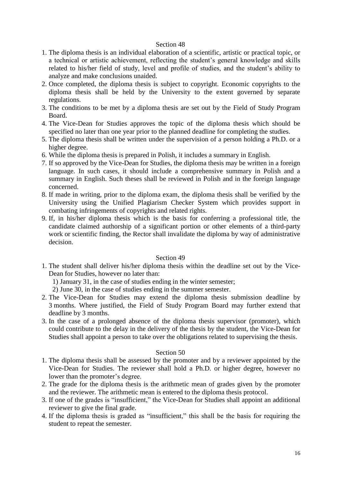- 1. The diploma thesis is an individual elaboration of a scientific, artistic or practical topic, or a technical or artistic achievement, reflecting the student's general knowledge and skills related to his/her field of study, level and profile of studies, and the student's ability to analyze and make conclusions unaided.
- 2. Once completed, the diploma thesis is subject to copyright. Economic copyrights to the diploma thesis shall be held by the University to the extent governed by separate regulations.
- 3. The conditions to be met by a diploma thesis are set out by the Field of Study Program Board.
- 4. The Vice-Dean for Studies approves the topic of the diploma thesis which should be specified no later than one year prior to the planned deadline for completing the studies.
- 5. The diploma thesis shall be written under the supervision of a person holding a Ph.D. or a higher degree.
- 6. While the diploma thesis is prepared in Polish, it includes a summary in English.
- 7. If so approved by the Vice-Dean for Studies, the diploma thesis may be written in a foreign language. In such cases, it should include a comprehensive summary in Polish and a summary in English. Such theses shall be reviewed in Polish and in the foreign language concerned.
- 8. If made in writing, prior to the diploma exam, the diploma thesis shall be verified by the University using the Unified Plagiarism Checker System which provides support in combating infringements of copyrights and related rights.
- 9. If, in his/her diploma thesis which is the basis for conferring a professional title, the candidate claimed authorship of a significant portion or other elements of a third-party work or scientific finding, the Rector shall invalidate the diploma by way of administrative decision.

#### Section 49

- 1. The student shall deliver his/her diploma thesis within the deadline set out by the Vice-Dean for Studies, however no later than:
	- 1) January 31, in the case of studies ending in the winter semester;
	- 2) June 30, in the case of studies ending in the summer semester.
- 2. The Vice-Dean for Studies may extend the diploma thesis submission deadline by 3 months. Where justified, the Field of Study Program Board may further extend that deadline by 3 months.
- 3. In the case of a prolonged absence of the diploma thesis supervisor (promoter), which could contribute to the delay in the delivery of the thesis by the student, the Vice-Dean for Studies shall appoint a person to take over the obligations related to supervising the thesis.

- 1. The diploma thesis shall be assessed by the promoter and by a reviewer appointed by the Vice-Dean for Studies. The reviewer shall hold a Ph.D. or higher degree, however no lower than the promoter's degree.
- 2. The grade for the diploma thesis is the arithmetic mean of grades given by the promoter and the reviewer. The arithmetic mean is entered to the diploma thesis protocol.
- 3. If one of the grades is "insufficient," the Vice-Dean for Studies shall appoint an additional reviewer to give the final grade.
- 4. If the diploma thesis is graded as "insufficient," this shall be the basis for requiring the student to repeat the semester.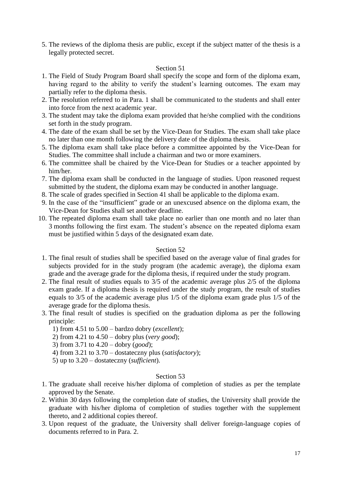5. The reviews of the diploma thesis are public, except if the subject matter of the thesis is a legally protected secret.

#### Section 51

- 1. The Field of Study Program Board shall specify the scope and form of the diploma exam, having regard to the ability to verify the student's learning outcomes. The exam may partially refer to the diploma thesis.
- 2. The resolution referred to in Para. 1 shall be communicated to the students and shall enter into force from the next academic year.
- 3. The student may take the diploma exam provided that he/she complied with the conditions set forth in the study program.
- 4. The date of the exam shall be set by the Vice-Dean for Studies. The exam shall take place no later than one month following the delivery date of the diploma thesis.
- 5. The diploma exam shall take place before a committee appointed by the Vice-Dean for Studies. The committee shall include a chairman and two or more examiners.
- 6. The committee shall be chaired by the Vice-Dean for Studies or a teacher appointed by him/her.
- 7. The diploma exam shall be conducted in the language of studies. Upon reasoned request submitted by the student, the diploma exam may be conducted in another language.
- 8. The scale of grades specified in Section 41 shall be applicable to the diploma exam.
- 9. In the case of the "insufficient" grade or an unexcused absence on the diploma exam, the Vice-Dean for Studies shall set another deadline.
- 10. The repeated diploma exam shall take place no earlier than one month and no later than 3 months following the first exam. The student's absence on the repeated diploma exam must be justified within 5 days of the designated exam date.

#### Section 52

- 1. The final result of studies shall be specified based on the average value of final grades for subjects provided for in the study program (the academic average), the diploma exam grade and the average grade for the diploma thesis, if required under the study program.
- 2. The final result of studies equals to 3/5 of the academic average plus 2/5 of the diploma exam grade. If a diploma thesis is required under the study program, the result of studies equals to 3/5 of the academic average plus 1/5 of the diploma exam grade plus 1/5 of the average grade for the diploma thesis.
- 3. The final result of studies is specified on the graduation diploma as per the following principle:
	- 1) from 4.51 to 5.00 bardzo dobry (*excellent*);
	- 2) from 4.21 to 4.50 dobry plus (*very good*);
	- 3) from 3.71 to 4.20 dobry (*good*);
	- 4) from 3.21 to 3.70 dostateczny plus (*satisfactory*);
	- 5) up to 3.20 dostateczny (*sufficient*).

- 1. The graduate shall receive his/her diploma of completion of studies as per the template approved by the Senate.
- 2. Within 30 days following the completion date of studies, the University shall provide the graduate with his/her diploma of completion of studies together with the supplement thereto, and 2 additional copies thereof.
- 3. Upon request of the graduate, the University shall deliver foreign-language copies of documents referred to in Para. 2.